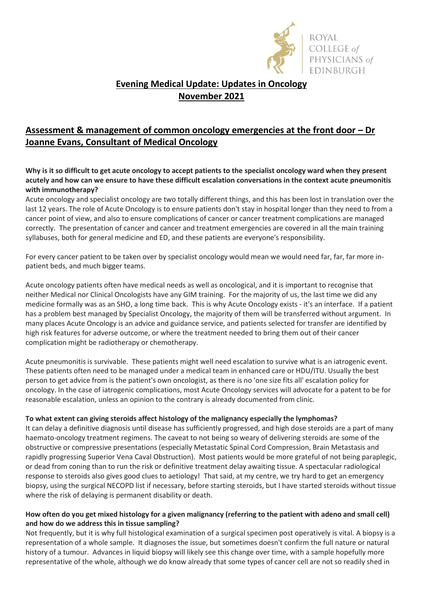

## **Evening Medical Update: Updates in Oncology November 2021**

# **Assessment & management of common oncology emergencies at the front door – Dr Joanne Evans, Consultant of Medical Oncology**

**Why is it so difficult to get acute oncology to accept patients to the specialist oncology ward when they present acutely and how can we ensure to have these difficult escalation conversations in the context acute pneumonitis with immunotherapy?**

Acute oncology and specialist oncology are two totally different things, and this has been lost in translation over the last 12 years. The role of Acute Oncology is to ensure patients don't stay in hospital longer than they need to from a cancer point of view, and also to ensure complications of cancer or cancer treatment complications are managed correctly. The presentation of cancer and cancer and treatment emergencies are covered in all the main training syllabuses, both for general medicine and ED, and these patients are everyone's responsibility.

For every cancer patient to be taken over by specialist oncology would mean we would need far, far, far more inpatient beds, and much bigger teams.

Acute oncology patients often have medical needs as well as oncological, and it is important to recognise that neither Medical nor Clinical Oncologists have any GIM training. For the majority of us, the last time we did any medicine formally was as an SHO, a long time back. This is why Acute Oncology exists - it's an interface. If a patient has a problem best managed by Specialist Oncology, the majority of them will be transferred without argument. In many places Acute Oncology is an advice and guidance service, and patients selected for transfer are identified by high risk features for adverse outcome, or where the treatment needed to bring them out of their cancer complication might be radiotherapy or chemotherapy.

Acute pneumonitis is survivable. These patients might well need escalation to survive what is an iatrogenic event. These patients often need to be managed under a medical team in enhanced care or HDU/ITU. Usually the best person to get advice from is the patient's own oncologist, as there is no 'one size fits all' escalation policy for oncology. In the case of iatrogenic complications, most Acute Oncology services will advocate for a patent to be for reasonable escalation, unless an opinion to the contrary is already documented from clinic.

### **To what extent can giving steroids affect histology of the malignancy especially the lymphomas?**

It can delay a definitive diagnosis until disease has sufficiently progressed, and high dose steroids are a part of many haemato-oncology treatment regimens. The caveat to not being so weary of delivering steroids are some of the obstructive or compressive presentations (especially Metastatic Spinal Cord Compression, Brain Metastasis and rapidly progressing Superior Vena Caval Obstruction). Most patients would be more grateful of not being paraplegic, or dead from coning than to run the risk or definitive treatment delay awaiting tissue. A spectacular radiological response to steroids also gives good clues to aetiology! That said, at my centre, we try hard to get an emergency biopsy, using the surgical NECOPD list if necessary, before starting steroids, but I have started steroids without tissue where the risk of delaying is permanent disability or death.

### **How often do you get mixed histology for a given malignancy (referring to the patient with adeno and small cell) and how do we address this in tissue sampling?**

Not frequently, but it is why full histological examination of a surgical specimen post operatively is vital. A biopsy is a representation of a whole sample. It diagnoses the issue, but sometimes doesn't confirm the full nature or natural history of a tumour. Advances in liquid biopsy will likely see this change over time, with a sample hopefully more representative of the whole, although we do know already that some types of cancer cell are not so readily shed in